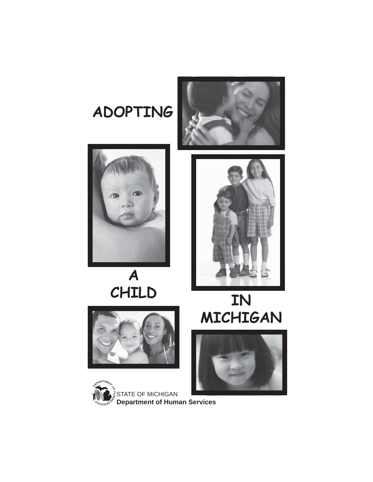





**A**



# **CHILD IN MICHIGAN**





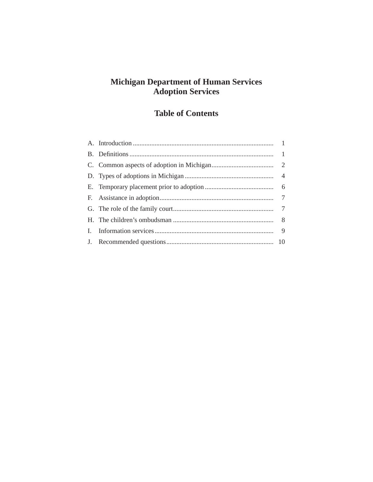## **Michigan Department of Human Services Adoption Services**

# **Table of Contents**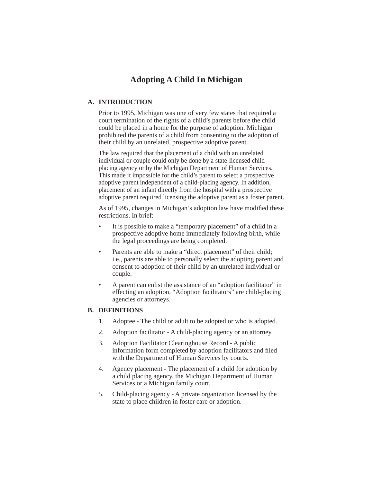## **Adopting A Child In Michigan**

#### **A. INTRODUCTION**

 Prior to 1995, Michigan was one of very few states that required a court termination of the rights of a child's parents before the child could be placed in a home for the purpose of adoption. Michigan prohibited the parents of a child from consenting to the adoption of their child by an unrelated, prospective adoptive parent.

 The law required that the placement of a child with an unrelated individual or couple could only be done by a state-licensed childplacing agency or by the Michigan Department of Human Services. This made it impossible for the child's parent to select a prospective adoptive parent independent of a child-placing agency. In addition, placement of an infant directly from the hospital with a prospective adoptive parent required licensing the adoptive parent as a foster parent.

As of 1995, changes in Michigan's adoption law have modified these restrictions. In brief:

- It is possible to make a "temporary placement" of a child in a prospective adoptive home immediately following birth, while the legal proceedings are being completed.
- Parents are able to make a "direct placement" of their child; i.e., parents are able to personally select the adopting parent and consent to adoption of their child by an unrelated individual or couple.
- A parent can enlist the assistance of an "adoption facilitator" in effecting an adoption. "Adoption facilitators" are child-placing agencies or attorneys.

#### **B. DEFINITIONS**

- 1. Adoptee The child or adult to be adopted or who is adopted.
- 2. Adoption facilitator A child-placing agency or an attorney.
- 3. Adoption Facilitator Clearinghouse Record A public information form completed by adoption facilitators and filed with the Department of Human Services by courts.
- 4. Agency placement The placement of a child for adoption by a child placing agency, the Michigan Department of Human Services or a Michigan family court.
- 5. Child-placing agency A private organization licensed by the state to place children in foster care or adoption.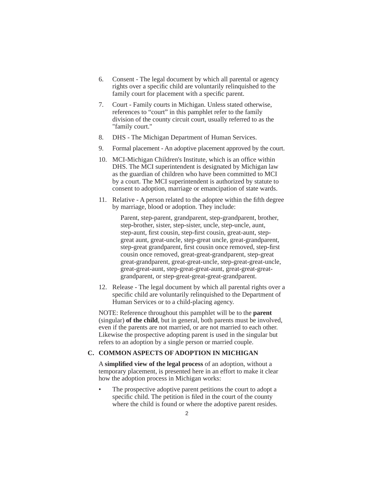- 6. Consent The legal document by which all parental or agency rights over a specific child are voluntarily relinquished to the family court for placement with a specific parent.
- 7. Court Family courts in Michigan. Unless stated otherwise, references to "court" in this pamphlet refer to the family division of the county circuit court, usually referred to as the "family court."
- 8. DHS The Michigan Department of Human Services.
- 9. Formal placement An adoptive placement approved by the court.
- 10. MCI-Michigan Children's Institute, which is an office within DHS. The MCI superintendent is designated by Michigan law as the guardian of children who have been committed to MCI by a court. The MCI superintendent is authorized by statute to consent to adoption, marriage or emancipation of state wards.
- 11. Relative A person related to the adoptee within the fifth degree by marriage, blood or adoption. They include:

 Parent, step-parent, grandparent, step-grandparent, brother, step-brother, sister, step-sister, uncle, step-uncle, aunt, step-aunt, first cousin, step-first cousin, great-aunt, stepgreat aunt, great-uncle, step-great uncle, great-grandparent, step-great grandparent, first cousin once removed, step-first cousin once removed, great-great-grandparent, step-great great-grandparent, great-great-uncle, step-great-great-uncle, great-great-aunt, step-great-great-aunt, great-great-greatgrandparent, or step-great-great-great-grandparent.

 12. Release - The legal document by which all parental rights over a specific child are voluntarily relinquished to the Department of Human Services or to a child-placing agency.

 NOTE: Reference throughout this pamphlet will be to the **parent** (singular) **of the child**, but in general, both parents must be involved, even if the parents are not married, or are not married to each other. Likewise the prospective adopting parent is used in the singular but refers to an adoption by a single person or married couple.

#### **C. COMMON ASPECTS OF ADOPTION IN MICHIGAN**

 A **simplifi ed view of the legal process** of an adoption, without a temporary placement, is presented here in an effort to make it clear how the adoption process in Michigan works:

The prospective adoptive parent petitions the court to adopt a specific child. The petition is filed in the court of the county where the child is found or where the adoptive parent resides.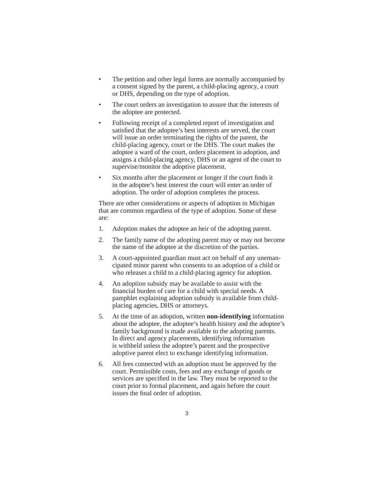- The petition and other legal forms are normally accompanied by a consent signed by the parent, a child-placing agency, a court or DHS, depending on the type of adoption.
- The court orders an investigation to assure that the interests of the adoptee are protected.
- Following receipt of a completed report of investigation and satisfied that the adoptee's best interests are served, the court will issue an order terminating the rights of the parent, the child-placing agency, court or the DHS. The court makes the adoptee a ward of the court, orders placement in adoption, and assigns a child-placing agency, DHS or an agent of the court to supervise/monitor the adoptive placement.
- Six months after the placement or longer if the court finds it in the adoptee's best interest the court will enter an order of adoption. The order of adoption completes the process.

 There are other considerations or aspects of adoption in Michigan that are common regardless of the type of adoption. Some of these are:

- 1. Adoption makes the adoptee an heir of the adopting parent.
- 2. The family name of the adopting parent may or may not become the name of the adoptee at the discretion of the parties.
- 3. A court-appointed guardian must act on behalf of any unemancipated minor parent who consents to an adoption of a child or who releases a child to a child-placing agency for adoption.
- 4. An adoption subsidy may be available to assist with the financial burden of care for a child with special needs. A pamphlet explaining adoption subsidy is available from childplacing agencies, DHS or attorneys.
- 5. At the time of an adoption, written **non-identifying** information about the adoptee, the adoptee's health history and the adoptee's family background is made available to the adopting parents. In direct and agency placements, identifying information is withheld unless the adoptee's parent and the prospective adoptive parent elect to exchange identifying information.
- 6. All fees connected with an adoption must be approved by the court. Permissible costs, fees and any exchange of goods or services are specified in the law. They must be reported to the court prior to formal placement, and again before the court issues the final order of adoption.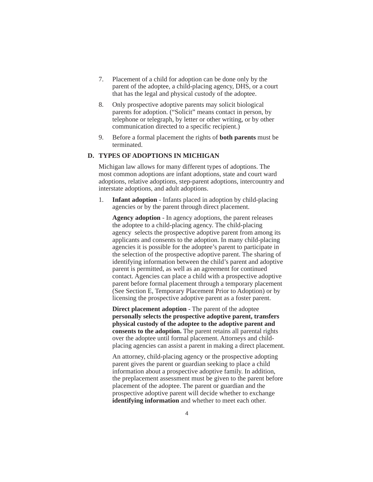- 7. Placement of a child for adoption can be done only by the parent of the adoptee, a child-placing agency, DHS, or a court that has the legal and physical custody of the adoptee.
- 8. Only prospective adoptive parents may solicit biological parents for adoption. ("Solicit" means contact in person, by telephone or telegraph, by letter or other writing, or by other communication directed to a specific recipient.)
- 9. Before a formal placement the rights of **both parents** must be terminated.

#### **D. TYPES OF ADOPTIONS IN MICHIGAN**

 Michigan law allows for many different types of adoptions. The most common adoptions are infant adoptions, state and court ward adoptions, relative adoptions, step-parent adoptions, intercountry and interstate adoptions, and adult adoptions.

 1. **Infant adoption** - Infants placed in adoption by child-placing agencies or by the parent through direct placement.

 **Agency adoption** - In agency adoptions, the parent releases the adoptee to a child-placing agency. The child-placing agency selects the prospective adoptive parent from among its applicants and consents to the adoption. In many child-placing agencies it is possible for the adoptee's parent to participate in the selection of the prospective adoptive parent. The sharing of identifying information between the child's parent and adoptive parent is permitted, as well as an agreement for continued contact. Agencies can place a child with a prospective adoptive parent before formal placement through a temporary placement (See Section E, Temporary Placement Prior to Adoption) or by licensing the prospective adoptive parent as a foster parent.

 **Direct placement adoption** - The parent of the adoptee **personally selects the prospective adoptive parent, transfers physical custody of the adoptee to the adoptive parent and consents to the adoption.** The parent retains all parental rights over the adoptee until formal placement. Attorneys and childplacing agencies can assist a parent in making a direct placement.

 An attorney, child-placing agency or the prospective adopting parent gives the parent or guardian seeking to place a child information about a prospective adoptive family. In addition, the preplacement assessment must be given to the parent before placement of the adoptee. The parent or guardian and the prospective adoptive parent will decide whether to exchange **identifying information** and whether to meet each other.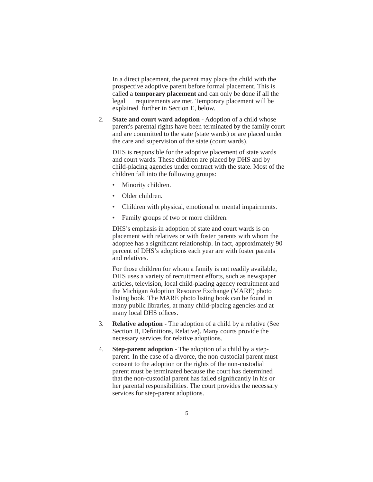In a direct placement, the parent may place the child with the prospective adoptive parent before formal placement. This is called a **temporary placement** and can only be done if all the legal requirements are met. Temporary placement will be explained further in Section E, below.

 2. **State and court ward adoption** - Adoption of a child whose parent's parental rights have been terminated by the family court and are committed to the state (state wards) or are placed under the care and supervision of the state (court wards).

 DHS is responsible for the adoptive placement of state wards and court wards. These children are placed by DHS and by child-placing agencies under contract with the state. Most of the children fall into the following groups:

- Minority children.
- Older children.
- Children with physical, emotional or mental impairments.
- Family groups of two or more children.

 DHS's emphasis in adoption of state and court wards is on placement with relatives or with foster parents with whom the adoptee has a significant relationship. In fact, approximately 90 percent of DHS's adoptions each year are with foster parents and relatives.

 For those children for whom a family is not readily available, DHS uses a variety of recruitment efforts, such as newspaper articles, television, local child-placing agency recruitment and the Michigan Adoption Resource Exchange (MARE) photo listing book. The MARE photo listing book can be found in many public libraries, at many child-placing agencies and at many local DHS offices.

- 3. **Relative adoption** The adoption of a child by a relative (See Section B, Definitions, Relative). Many courts provide the necessary services for relative adoptions.
- 4. **Step-parent adoption** The adoption of a child by a stepparent. In the case of a divorce, the non-custodial parent must consent to the adoption or the rights of the non-custodial parent must be terminated because the court has determined that the non-custodial parent has failed significantly in his or her parental responsibilities. The court provides the necessary services for step-parent adoptions.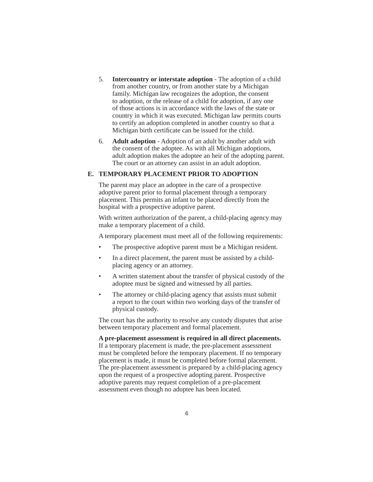- 5. **Intercountry or interstate adoption** The adoption of a child from another country, or from another state by a Michigan family. Michigan law recognizes the adoption, the consent to adoption, or the release of a child for adoption, if any one of those actions is in accordance with the laws of the state or country in which it was executed. Michigan law permits courts to certify an adoption completed in another country so that a Michigan birth certificate can be issued for the child.
- 6. **Adult adoption** Adoption of an adult by another adult with the consent of the adoptee. As with all Michigan adoptions, adult adoption makes the adoptee an heir of the adopting parent. The court or an attorney can assist in an adult adoption.

#### **E. TEMPORARY PLACEMENT PRIOR TO ADOPTION**

 The parent may place an adoptee in the care of a prospective adoptive parent prior to formal placement through a temporary placement. This permits an infant to be placed directly from the hospital with a prospective adoptive parent.

 With written authorization of the parent, a child-placing agency may make a temporary placement of a child.

A temporary placement must meet all of the following requirements:

- The prospective adoptive parent must be a Michigan resident.
- In a direct placement, the parent must be assisted by a childplacing agency or an attorney.
- A written statement about the transfer of physical custody of the adoptee must be signed and witnessed by all parties.
- The attorney or child-placing agency that assists must submit a report to the court within two working days of the transfer of physical custody.

 The court has the authority to resolve any custody disputes that arise between temporary placement and formal placement.

**A pre-placement assessment is required in all direct placements.** If a temporary placement is made, the pre-placement assessment must be completed before the temporary placement. If no temporary placement is made, it must be completed before formal placement. The pre-placement assessment is prepared by a child-placing agency upon the request of a prospective adopting parent. Prospective adoptive parents may request completion of a pre-placement assessment even though no adoptee has been located.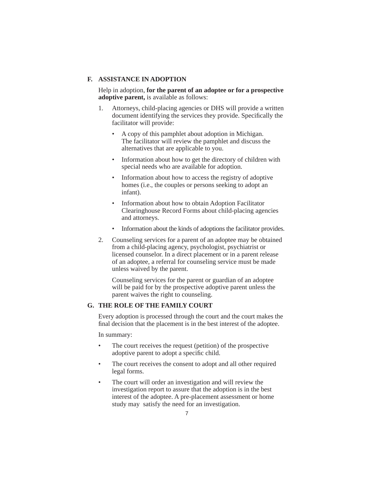#### **F. ASSISTANCE IN ADOPTION**

 Help in adoption, **for the parent of an adoptee or for a prospective adoptive parent,** is available as follows:

- 1. Attorneys, child-placing agencies or DHS will provide a written document identifying the services they provide. Specifically the facilitator will provide:
	- A copy of this pamphlet about adoption in Michigan. The facilitator will review the pamphlet and discuss the alternatives that are applicable to you.
	- Information about how to get the directory of children with special needs who are available for adoption.
	- Information about how to access the registry of adoptive homes (i.e., the couples or persons seeking to adopt an infant).
	- Information about how to obtain Adoption Facilitator Clearinghouse Record Forms about child-placing agencies and attorneys.
	- Information about the kinds of adoptions the facilitator provides.
- 2. Counseling services for a parent of an adoptee may be obtained from a child-placing agency, psychologist, psychiatrist or licensed counselor. In a direct placement or in a parent release of an adoptee, a referral for counseling service must be made unless waived by the parent.

 Counseling services for the parent or guardian of an adoptee will be paid for by the prospective adoptive parent unless the parent waives the right to counseling.

#### **G. THE ROLE OF THE FAMILY COURT**

 Every adoption is processed through the court and the court makes the final decision that the placement is in the best interest of the adoptee.

In summary:

- The court receives the request (petition) of the prospective adoptive parent to adopt a specific child.
- The court receives the consent to adopt and all other required legal forms.
- The court will order an investigation and will review the investigation report to assure that the adoption is in the best interest of the adoptee. A pre-placement assessment or home study may satisfy the need for an investigation.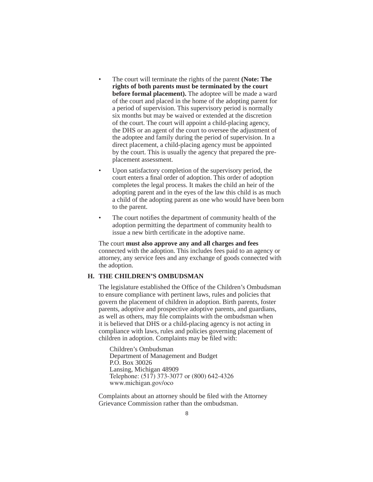- The court will terminate the rights of the parent **(Note: The rights of both parents must be terminated by the court before formal placement).** The adoptee will be made a ward of the court and placed in the home of the adopting parent for a period of supervision. This supervisory period is normally six months but may be waived or extended at the discretion of the court. The court will appoint a child-placing agency, the DHS or an agent of the court to oversee the adjustment of the adoptee and family during the period of supervision. In a direct placement, a child-placing agency must be appointed by the court. This is usually the agency that prepared the preplacement assessment.
- Upon satisfactory completion of the supervisory period, the court enters a final order of adoption. This order of adoption completes the legal process. It makes the child an heir of the adopting parent and in the eyes of the law this child is as much a child of the adopting parent as one who would have been born to the parent.
- The court notifies the department of community health of the adoption permitting the department of community health to issue a new birth certificate in the adoptive name.

 The court **must also approve any and all charges and fees** connected with the adoption. This includes fees paid to an agency or attorney, any service fees and any exchange of goods connected with the adoption.

#### **H. THE CHILDREN'S OMBUDSMAN**

The legislature established the Office of the Children's Ombudsman to ensure compliance with pertinent laws, rules and policies that govern the placement of children in adoption. Birth parents, foster parents, adoptive and prospective adoptive parents, and guardians, as well as others, may file complaints with the ombudsman when it is believed that DHS or a child-placing agency is not acting in compliance with laws, rules and policies governing placement of children in adoption. Complaints may be filed with:

 Children's Ombudsman Department of Management and Budget P.O. Box 30026 Lansing, Michigan 48909 Telephone: (517) 373-3077 or (800) 642-4326 www.michigan.gov/oco

Complaints about an attorney should be filed with the Attorney Grievance Commission rather than the ombudsman.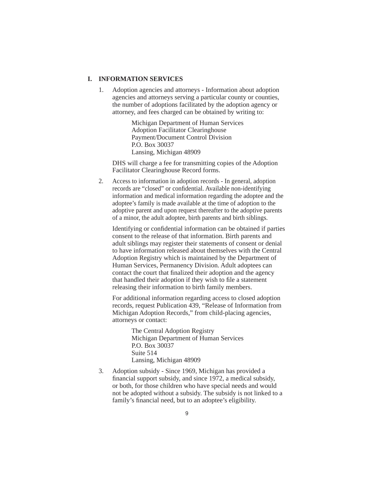#### **I. INFORMATION SERVICES**

 1. Adoption agencies and attorneys - Information about adoption agencies and attorneys serving a particular county or counties, the number of adoptions facilitated by the adoption agency or attorney, and fees charged can be obtained by writing to:

> Michigan Department of Human Services Adoption Facilitator Clearinghouse Payment/Document Control Division P.O. Box 30037 Lansing, Michigan 48909

 DHS will charge a fee for transmitting copies of the Adoption Facilitator Clearinghouse Record forms.

 2. Access to information in adoption records - In general, adoption records are "closed" or confidential. Available non-identifying information and medical information regarding the adoptee and the adoptee's family is made available at the time of adoption to the adoptive parent and upon request thereafter to the adoptive parents of a minor, the adult adoptee, birth parents and birth siblings.

Identifying or confidential information can be obtained if parties consent to the release of that information. Birth parents and adult siblings may register their statements of consent or denial to have information released about themselves with the Central Adoption Registry which is maintained by the Department of Human Services, Permanency Division. Adult adoptees can contact the court that finalized their adoption and the agency that handled their adoption if they wish to file a statement releasing their information to birth family members.

 For additional information regarding access to closed adoption records, request Publication 439, "Release of Information from Michigan Adoption Records," from child-placing agencies, attorneys or contact:

> The Central Adoption Registry Michigan Department of Human Services P.O. Box 30037 Suite 514 Lansing, Michigan 48909

 3. Adoption subsidy - Since 1969, Michigan has provided a financial support subsidy, and since 1972, a medical subsidy, or both, for those children who have special needs and would not be adopted without a subsidy. The subsidy is not linked to a family's financial need, but to an adoptee's eligibility.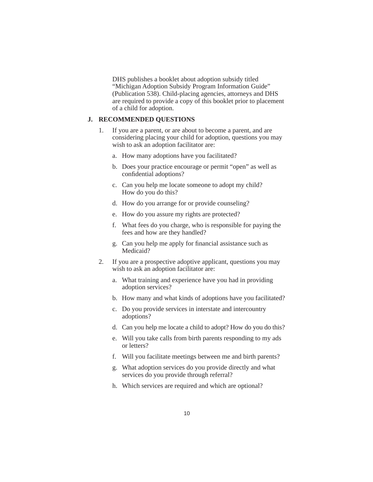DHS publishes a booklet about adoption subsidy titled "Michigan Adoption Subsidy Program Information Guide" (Publication 538). Child-placing agencies, attorneys and DHS are required to provide a copy of this booklet prior to placement of a child for adoption.

#### **J. RECOMMENDED QUESTIONS**

- 1. If you are a parent, or are about to become a parent, and are considering placing your child for adoption, questions you may wish to ask an adoption facilitator are:
	- a. How many adoptions have you facilitated?
	- b. Does your practice encourage or permit "open" as well as confidential adoptions?
	- c. Can you help me locate someone to adopt my child? How do you do this?
	- d. How do you arrange for or provide counseling?
	- e. How do you assure my rights are protected?
	- f. What fees do you charge, who is responsible for paying the fees and how are they handled?
	- g. Can you help me apply for financial assistance such as Medicaid?
- 2. If you are a prospective adoptive applicant, questions you may wish to ask an adoption facilitator are:
	- a. What training and experience have you had in providing adoption services?
	- b. How many and what kinds of adoptions have you facilitated?
	- c. Do you provide services in interstate and intercountry adoptions?
	- d. Can you help me locate a child to adopt? How do you do this?
	- e. Will you take calls from birth parents responding to my ads or letters?
	- f. Will you facilitate meetings between me and birth parents?
	- g. What adoption services do you provide directly and what services do you provide through referral?
	- h. Which services are required and which are optional?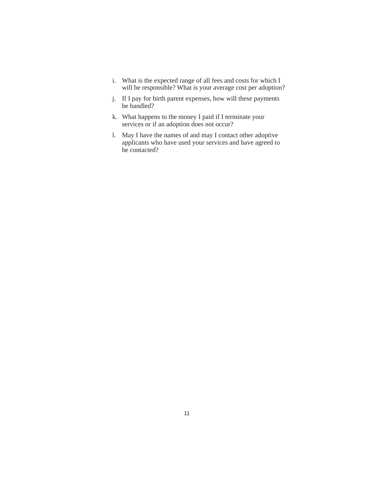- i. What is the expected range of all fees and costs for which I will be responsible? What is your average cost per adoption?
- j. If I pay for birth parent expenses, how will these payments be handled?
- k. What happens to the money I paid if I terminate your services or if an adoption does not occur?
- l. May I have the names of and may I contact other adoptive applicants who have used your services and have agreed to be contacted?